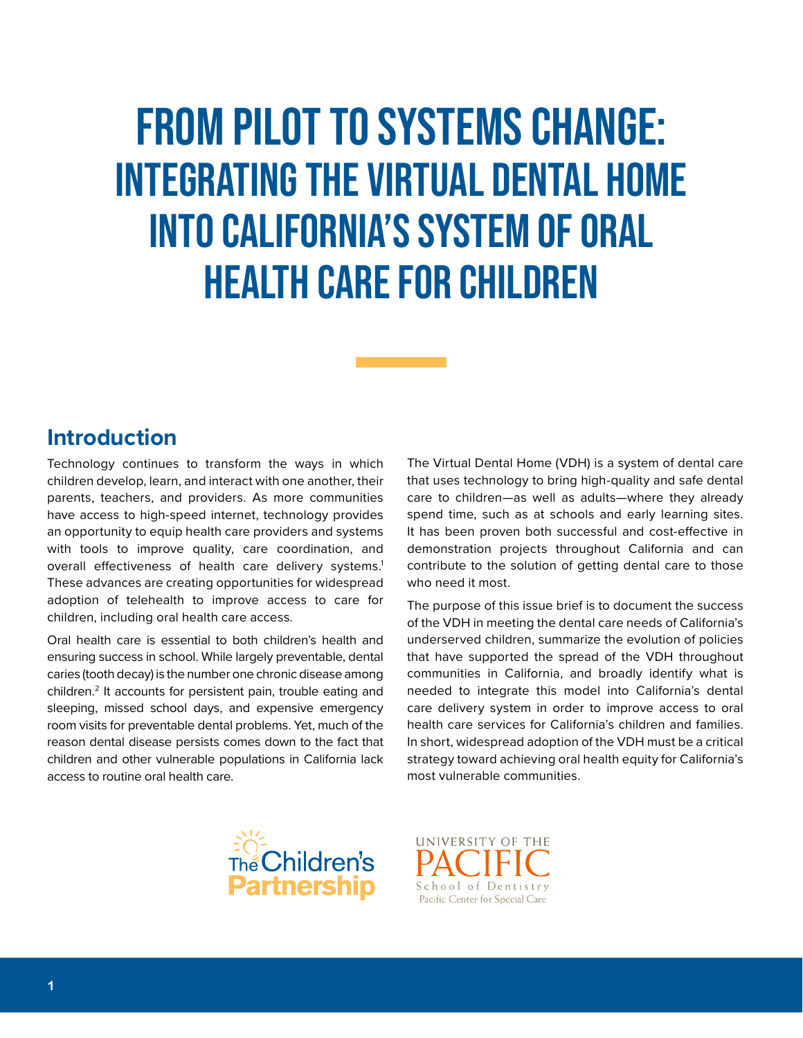# From Pilot to Systems Change: Integrating the Virtual Dental Home into California's System of Oral Health Care for children

#### **Introduction**

Technology continues to transform the ways in which children develop, learn, and interact with one another, their parents, teachers, and providers. As more communities have access to high-speed internet, technology provides an opportunity to equip health care providers and systems with tools to improve quality, care coordination, and overall effectiveness of health care delivery systems.<sup>1</sup> These advances are creating opportunities for widespread adoption of telehealth to improve access to care for children, including oral health care access.

Oral health care is essential to both children's health and ensuring success in school. While largely preventable, dental caries (tooth decay) is the number one chronic disease among children.<sup>2</sup> It accounts for persistent pain, trouble eating and sleeping, missed school days, and expensive emergency room visits for preventable dental problems. Yet, much of the reason dental disease persists comes down to the fact that children and other vulnerable populations in California lack access to routine oral health care.

The Virtual Dental Home (VDH) is a system of dental care that uses technology to bring high-quality and safe dental care to children—as well as adults—where they already spend time, such as at schools and early learning sites. It has been proven both successful and cost-effective in demonstration projects throughout California and can contribute to the solution of getting dental care to those who need it most.

The purpose of this issue brief is to document the success of the VDH in meeting the dental care needs of California's underserved children, summarize the evolution of policies that have supported the spread of the VDH throughout communities in California, and broadly identify what is needed to integrate this model into California's dental care delivery system in order to improve access to oral health care services for California's children and families. In short, widespread adoption of the VDH must be a critical strategy toward achieving oral health equity for California's most vulnerable communities.



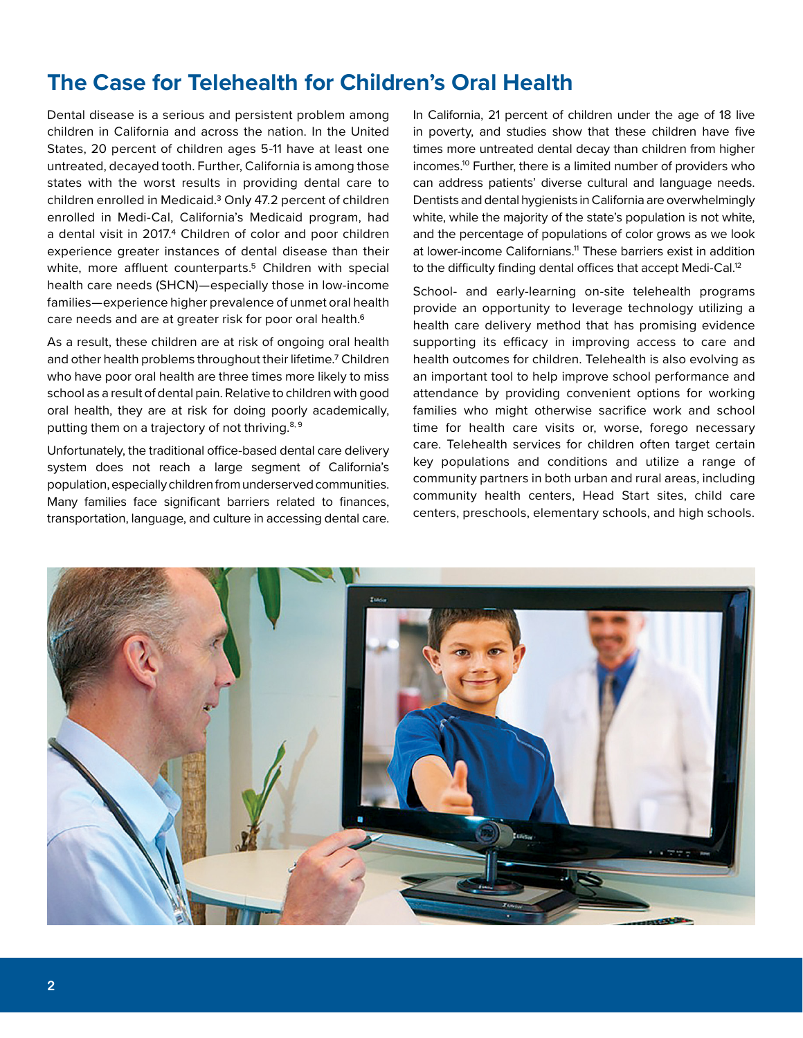# **The Case for Telehealth for Children's Oral Health**

Dental disease is a serious and persistent problem among children in California and across the nation. In the United States, 20 percent of children ages 5-11 have at least one untreated, decayed tooth. Further, California is among those states with the worst results in providing dental care to children enrolled in Medicaid.3 Only 47.2 percent of children enrolled in Medi-Cal, California's Medicaid program, had a dental visit in 2017.4 Children of color and poor children experience greater instances of dental disease than their white, more affluent counterparts.<sup>5</sup> Children with special health care needs (SHCN)—especially those in low-income families—experience higher prevalence of unmet oral health care needs and are at greater risk for poor oral health.6

As a result, these children are at risk of ongoing oral health and other health problems throughout their lifetime.7 Children who have poor oral health are three times more likely to miss school as a result of dental pain. Relative to children with good oral health, they are at risk for doing poorly academically, putting them on a trajectory of not thriving.<sup>8, 9</sup>

Unfortunately, the traditional office-based dental care delivery system does not reach a large segment of California's population, especially children from underserved communities. Many families face significant barriers related to finances, transportation, language, and culture in accessing dental care.

In California, 21 percent of children under the age of 18 live in poverty, and studies show that these children have five times more untreated dental decay than children from higher incomes.10 Further, there is a limited number of providers who can address patients' diverse cultural and language needs. Dentists and dental hygienists in California are overwhelmingly white, while the majority of the state's population is not white, and the percentage of populations of color grows as we look at lower-income Californians.<sup>11</sup> These barriers exist in addition to the difficulty finding dental offices that accept Medi-Cal.<sup>12</sup>

School- and early-learning on-site telehealth programs provide an opportunity to leverage technology utilizing a health care delivery method that has promising evidence supporting its efficacy in improving access to care and health outcomes for children. Telehealth is also evolving as an important tool to help improve school performance and attendance by providing convenient options for working families who might otherwise sacrifice work and school time for health care visits or, worse, forego necessary care. Telehealth services for children often target certain key populations and conditions and utilize a range of community partners in both urban and rural areas, including community health centers, Head Start sites, child care centers, preschools, elementary schools, and high schools.

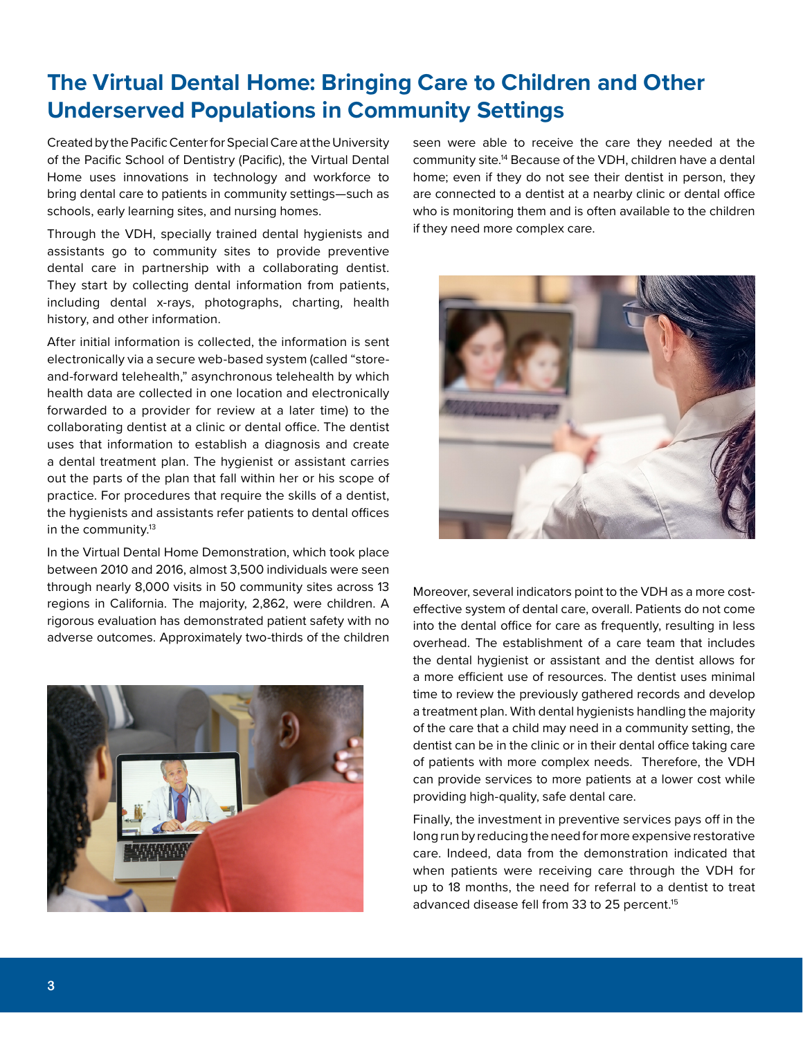# **The Virtual Dental Home: Bringing Care to Children and Other Underserved Populations in Community Settings**

Created by the Pacific Center for Special Care at the University of the Pacific School of Dentistry (Pacific), the Virtual Dental Home uses innovations in technology and workforce to bring dental care to patients in community settings—such as schools, early learning sites, and nursing homes.

Through the VDH, specially trained dental hygienists and assistants go to community sites to provide preventive dental care in partnership with a collaborating dentist. They start by collecting dental information from patients, including dental x-rays, photographs, charting, health history, and other information.

After initial information is collected, the information is sent electronically via a secure web-based system (called "storeand-forward telehealth," asynchronous telehealth by which health data are collected in one location and electronically forwarded to a provider for review at a later time) to the collaborating dentist at a clinic or dental office. The dentist uses that information to establish a diagnosis and create a dental treatment plan. The hygienist or assistant carries out the parts of the plan that fall within her or his scope of practice. For procedures that require the skills of a dentist, the hygienists and assistants refer patients to dental offices in the community.<sup>13</sup>

In the Virtual Dental Home Demonstration, which took place between 2010 and 2016, almost 3,500 individuals were seen through nearly 8,000 visits in 50 community sites across 13 regions in California. The majority, 2,862, were children. A rigorous evaluation has demonstrated patient safety with no adverse outcomes. Approximately two-thirds of the children



seen were able to receive the care they needed at the community site.14 Because of the VDH, children have a dental home; even if they do not see their dentist in person, they are connected to a dentist at a nearby clinic or dental office who is monitoring them and is often available to the children if they need more complex care.



Moreover, several indicators point to the VDH as a more costeffective system of dental care, overall. Patients do not come into the dental office for care as frequently, resulting in less overhead. The establishment of a care team that includes the dental hygienist or assistant and the dentist allows for a more efficient use of resources. The dentist uses minimal time to review the previously gathered records and develop a treatment plan. With dental hygienists handling the majority of the care that a child may need in a community setting, the dentist can be in the clinic or in their dental office taking care of patients with more complex needs. Therefore, the VDH can provide services to more patients at a lower cost while providing high-quality, safe dental care.

Finally, the investment in preventive services pays off in the long run by reducing the need for more expensive restorative care. Indeed, data from the demonstration indicated that when patients were receiving care through the VDH for up to 18 months, the need for referral to a dentist to treat advanced disease fell from 33 to 25 percent.<sup>15</sup>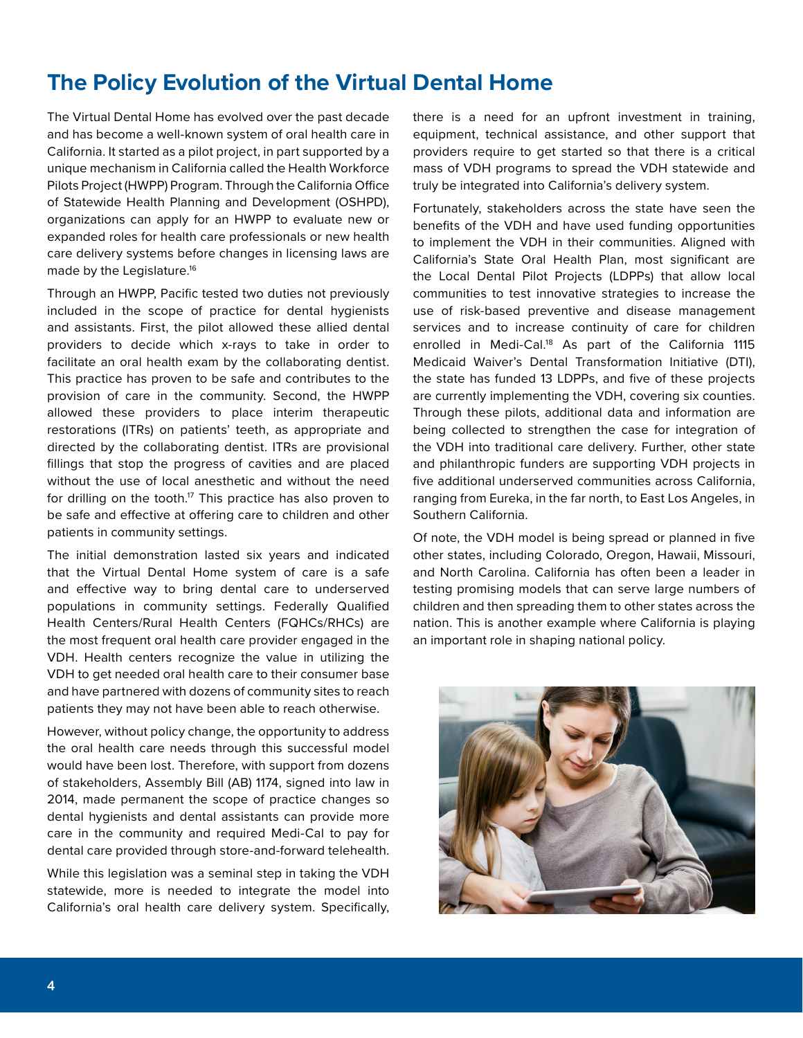### **The Policy Evolution of the Virtual Dental Home**

The Virtual Dental Home has evolved over the past decade and has become a well-known system of oral health care in California. It started as a pilot project, in part supported by a unique mechanism in California called the Health Workforce Pilots Project (HWPP) Program. Through the California Office of Statewide Health Planning and Development (OSHPD), organizations can apply for an HWPP to evaluate new or expanded roles for health care professionals or new health care delivery systems before changes in licensing laws are made by the Legislature.16

Through an HWPP, Pacific tested two duties not previously included in the scope of practice for dental hygienists and assistants. First, the pilot allowed these allied dental providers to decide which x-rays to take in order to facilitate an oral health exam by the collaborating dentist. This practice has proven to be safe and contributes to the provision of care in the community. Second, the HWPP allowed these providers to place interim therapeutic restorations (ITRs) on patients' teeth, as appropriate and directed by the collaborating dentist. ITRs are provisional fillings that stop the progress of cavities and are placed without the use of local anesthetic and without the need for drilling on the tooth. $17$  This practice has also proven to be safe and effective at offering care to children and other patients in community settings.

The initial demonstration lasted six years and indicated that the Virtual Dental Home system of care is a safe and effective way to bring dental care to underserved populations in community settings. Federally Qualified Health Centers/Rural Health Centers (FQHCs/RHCs) are the most frequent oral health care provider engaged in the VDH. Health centers recognize the value in utilizing the VDH to get needed oral health care to their consumer base and have partnered with dozens of community sites to reach patients they may not have been able to reach otherwise.

However, without policy change, the opportunity to address the oral health care needs through this successful model would have been lost. Therefore, with support from dozens of stakeholders, Assembly Bill (AB) 1174, signed into law in 2014, made permanent the scope of practice changes so dental hygienists and dental assistants can provide more care in the community and required Medi-Cal to pay for dental care provided through store-and-forward telehealth.

While this legislation was a seminal step in taking the VDH statewide, more is needed to integrate the model into California's oral health care delivery system. Specifically,

there is a need for an upfront investment in training, equipment, technical assistance, and other support that providers require to get started so that there is a critical mass of VDH programs to spread the VDH statewide and truly be integrated into California's delivery system.

Fortunately, stakeholders across the state have seen the benefits of the VDH and have used funding opportunities to implement the VDH in their communities. Aligned with California's State Oral Health Plan, most significant are the Local Dental Pilot Projects (LDPPs) that allow local communities to test innovative strategies to increase the use of risk-based preventive and disease management services and to increase continuity of care for children enrolled in Medi-Cal.<sup>18</sup> As part of the California 1115 Medicaid Waiver's Dental Transformation Initiative (DTI), the state has funded 13 LDPPs, and five of these projects are currently implementing the VDH, covering six counties. Through these pilots, additional data and information are being collected to strengthen the case for integration of the VDH into traditional care delivery. Further, other state and philanthropic funders are supporting VDH projects in five additional underserved communities across California, ranging from Eureka, in the far north, to East Los Angeles, in Southern California.

Of note, the VDH model is being spread or planned in five other states, including Colorado, Oregon, Hawaii, Missouri, and North Carolina. California has often been a leader in testing promising models that can serve large numbers of children and then spreading them to other states across the nation. This is another example where California is playing an important role in shaping national policy.

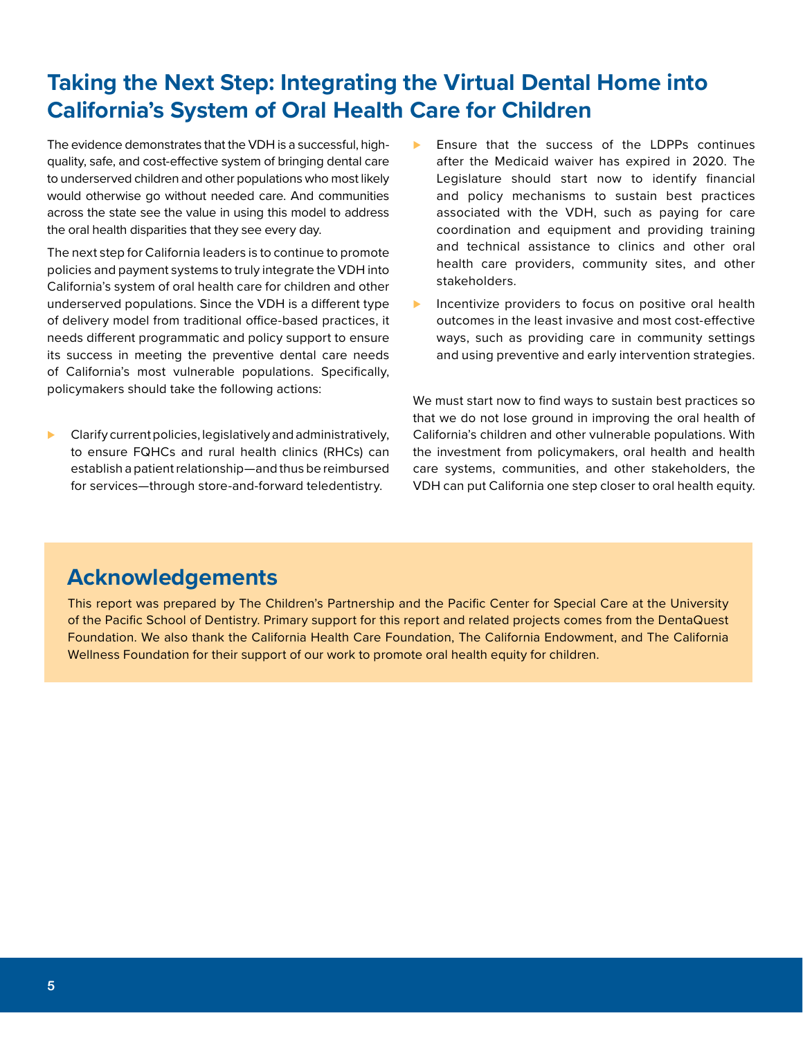# **Taking the Next Step: Integrating the Virtual Dental Home into California's System of Oral Health Care for Children**

The evidence demonstrates that the VDH is a successful, highquality, safe, and cost-effective system of bringing dental care to underserved children and other populations who most likely would otherwise go without needed care. And communities across the state see the value in using this model to address the oral health disparities that they see every day.

The next step for California leaders is to continue to promote policies and payment systems to truly integrate the VDH into California's system of oral health care for children and other underserved populations. Since the VDH is a different type of delivery model from traditional office-based practices, it needs different programmatic and policy support to ensure its success in meeting the preventive dental care needs of California's most vulnerable populations. Specifically, policymakers should take the following actions:

⊲ Clarify current policies, legislatively and administratively, to ensure FQHCs and rural health clinics (RHCs) can establish a patient relationship—and thus be reimbursed for services—through store-and-forward teledentistry.

- ► Ensure that the success of the LDPPs continues after the Medicaid waiver has expired in 2020. The Legislature should start now to identify financial and policy mechanisms to sustain best practices associated with the VDH, such as paying for care coordination and equipment and providing training and technical assistance to clinics and other oral health care providers, community sites, and other stakeholders.
- ▶ Incentivize providers to focus on positive oral health outcomes in the least invasive and most cost-effective ways, such as providing care in community settings and using preventive and early intervention strategies.

We must start now to find ways to sustain best practices so that we do not lose ground in improving the oral health of California's children and other vulnerable populations. With the investment from policymakers, oral health and health care systems, communities, and other stakeholders, the VDH can put California one step closer to oral health equity.

#### **Acknowledgements**

This report was prepared by The Children's Partnership and the Pacific Center for Special Care at the University of the Pacific School of Dentistry. Primary support for this report and related projects comes from the DentaQuest Foundation. We also thank the California Health Care Foundation, The California Endowment, and The California Wellness Foundation for their support of our work to promote oral health equity for children.